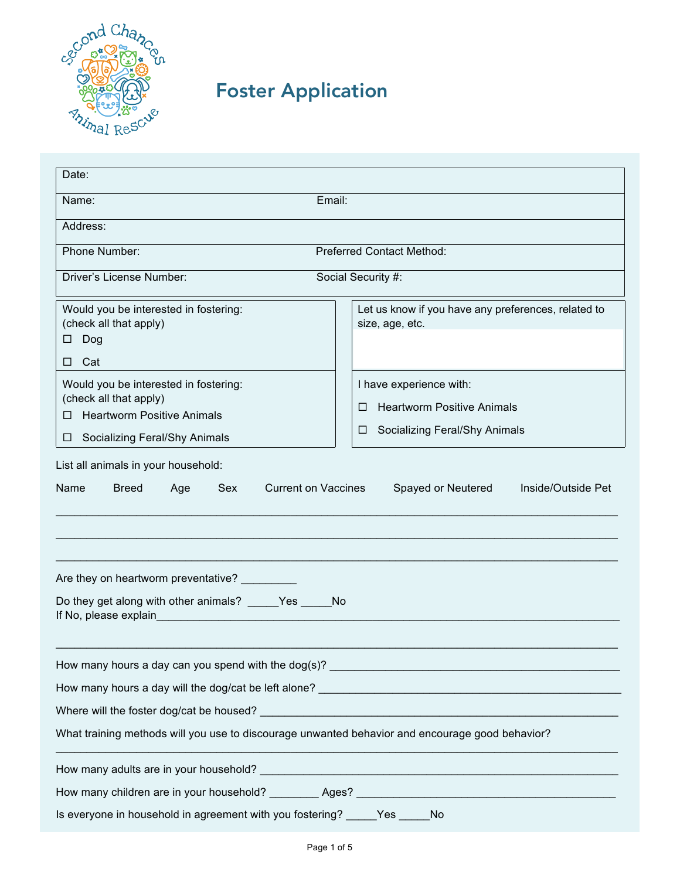

## Foster Application

| Date:                                                                                                                                                                                                                         |                                                                        |  |  |  |  |  |  |  |
|-------------------------------------------------------------------------------------------------------------------------------------------------------------------------------------------------------------------------------|------------------------------------------------------------------------|--|--|--|--|--|--|--|
| Name:                                                                                                                                                                                                                         | Email:                                                                 |  |  |  |  |  |  |  |
| Address:                                                                                                                                                                                                                      |                                                                        |  |  |  |  |  |  |  |
| Phone Number:<br><b>Preferred Contact Method:</b>                                                                                                                                                                             |                                                                        |  |  |  |  |  |  |  |
| Driver's License Number:                                                                                                                                                                                                      | Social Security #:                                                     |  |  |  |  |  |  |  |
| Would you be interested in fostering:<br>(check all that apply)<br>□<br>Dog<br>Cat<br>П.                                                                                                                                      | Let us know if you have any preferences, related to<br>size, age, etc. |  |  |  |  |  |  |  |
| Would you be interested in fostering:                                                                                                                                                                                         | I have experience with:                                                |  |  |  |  |  |  |  |
| (check all that apply)                                                                                                                                                                                                        | <b>Heartworm Positive Animals</b><br>П                                 |  |  |  |  |  |  |  |
| <b>Heartworm Positive Animals</b>                                                                                                                                                                                             | Socializing Feral/Shy Animals<br>⊔                                     |  |  |  |  |  |  |  |
| <b>Socializing Feral/Shy Animals</b><br>$\Box$                                                                                                                                                                                |                                                                        |  |  |  |  |  |  |  |
| Age                                                                                                                                                                                                                           | Spayed or Neutered                                                     |  |  |  |  |  |  |  |
| Are they on heartworm preventative? _________                                                                                                                                                                                 |                                                                        |  |  |  |  |  |  |  |
| Do they get along with other animals? _____Yes _____No<br>If No, please explain                                                                                                                                               |                                                                        |  |  |  |  |  |  |  |
|                                                                                                                                                                                                                               |                                                                        |  |  |  |  |  |  |  |
|                                                                                                                                                                                                                               |                                                                        |  |  |  |  |  |  |  |
| Where will the foster dog/cat be housed? Notice that the control of the control of the control of the control of the control of the control of the control of the control of the control of the control of the control of the |                                                                        |  |  |  |  |  |  |  |
| What training methods will you use to discourage unwanted behavior and encourage good behavior?                                                                                                                               |                                                                        |  |  |  |  |  |  |  |
|                                                                                                                                                                                                                               |                                                                        |  |  |  |  |  |  |  |
|                                                                                                                                                                                                                               |                                                                        |  |  |  |  |  |  |  |
| Is everyone in household in agreement with you fostering? _____Yes _____<br>No                                                                                                                                                |                                                                        |  |  |  |  |  |  |  |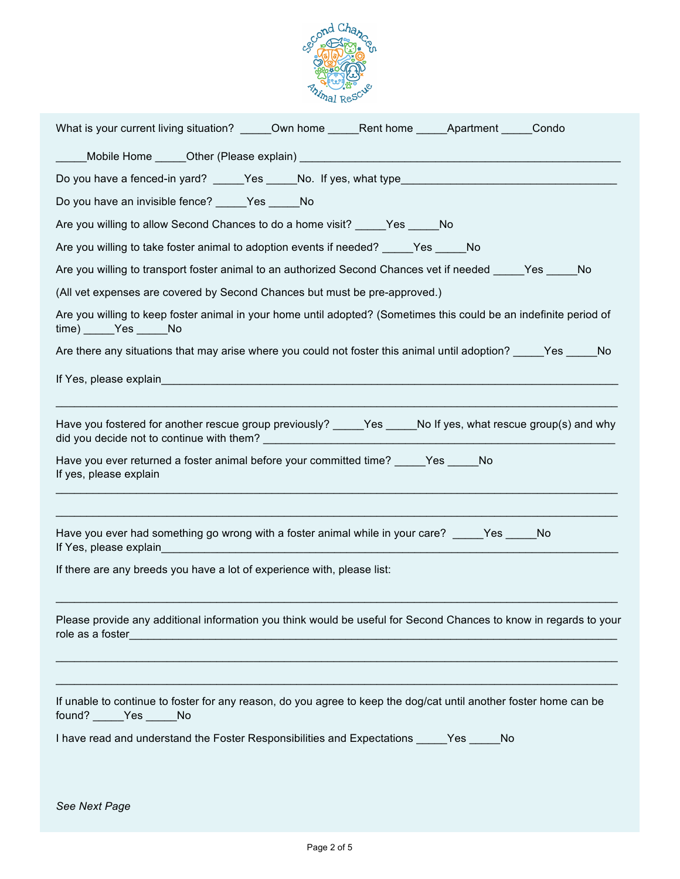

| What is your current living situation? ______Own home ______Rent home ______Apartment _____Condo                                             |  |  |  |  |  |  |  |  |  |
|----------------------------------------------------------------------------------------------------------------------------------------------|--|--|--|--|--|--|--|--|--|
|                                                                                                                                              |  |  |  |  |  |  |  |  |  |
|                                                                                                                                              |  |  |  |  |  |  |  |  |  |
| Do you have an invisible fence? _____Yes _____No                                                                                             |  |  |  |  |  |  |  |  |  |
| Are you willing to allow Second Chances to do a home visit? _____Yes _____No                                                                 |  |  |  |  |  |  |  |  |  |
| Are you willing to take foster animal to adoption events if needed? _____Yes _____No                                                         |  |  |  |  |  |  |  |  |  |
| Are you willing to transport foster animal to an authorized Second Chances vet if needed _____Yes _____No                                    |  |  |  |  |  |  |  |  |  |
| (All vet expenses are covered by Second Chances but must be pre-approved.)                                                                   |  |  |  |  |  |  |  |  |  |
| Are you willing to keep foster animal in your home until adopted? (Sometimes this could be an indefinite period of<br>time) _____Yes _____No |  |  |  |  |  |  |  |  |  |
| Are there any situations that may arise where you could not foster this animal until adoption? Fig. The No                                   |  |  |  |  |  |  |  |  |  |
|                                                                                                                                              |  |  |  |  |  |  |  |  |  |
| Have you fostered for another rescue group previously? _____Yes _____No If yes, what rescue group(s) and why                                 |  |  |  |  |  |  |  |  |  |
| Have you ever returned a foster animal before your committed time? _____Yes _____No<br>If yes, please explain                                |  |  |  |  |  |  |  |  |  |
| Have you ever had something go wrong with a foster animal while in your care? _____ Yes _____ No                                             |  |  |  |  |  |  |  |  |  |
| If there are any breeds you have a lot of experience with, please list:                                                                      |  |  |  |  |  |  |  |  |  |
| Please provide any additional information you think would be useful for Second Chances to know in regards to your                            |  |  |  |  |  |  |  |  |  |
| If unable to continue to foster for any reason, do you agree to keep the dog/cat until another foster home can be<br>found? _____Yes _____No |  |  |  |  |  |  |  |  |  |
| I have read and understand the Foster Responsibilities and Expectations ______ Yes _____ No                                                  |  |  |  |  |  |  |  |  |  |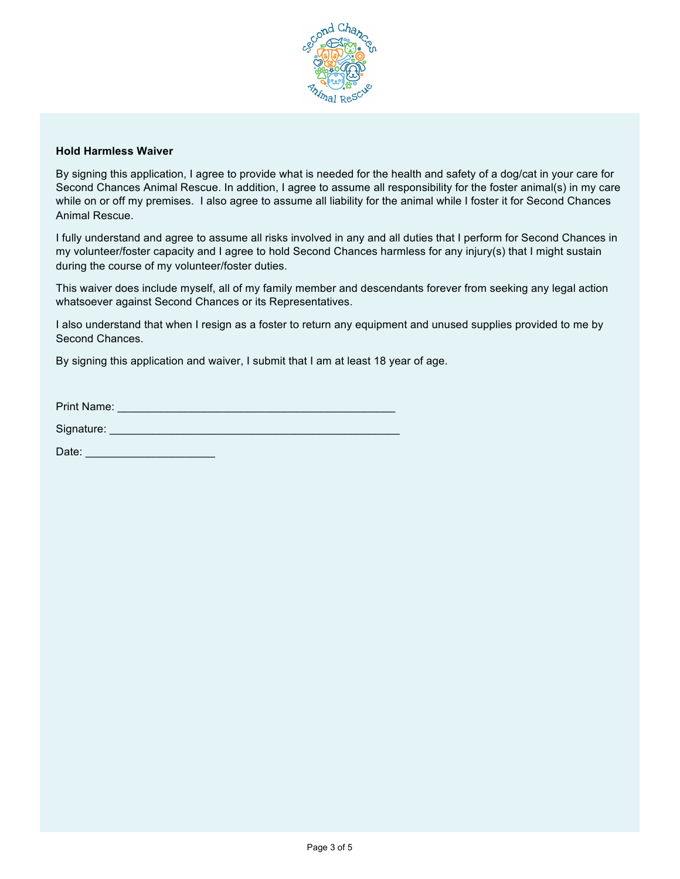

## **Hold Harmless Waiver**

By signing this application, I agree to provide what is needed for the health and safety of a dog/cat in your care for Second Chances Animal Rescue. In addition, I agree to assume all responsibility for the foster animal(s) in my care while on or off my premises. I also agree to assume all liability for the animal while I foster it for Second Chances Animal Rescue.

I fully understand and agree to assume all risks involved in any and all duties that I perform for Second Chances in my volunteer/foster capacity and I agree to hold Second Chances harmless for any injury(s) that I might sustain during the course of my volunteer/foster duties.

This waiver does include myself, all of my family member and descendants forever from seeking any legal action whatsoever against Second Chances or its Representatives.

I also understand that when I resign as a foster to return any equipment and unused supplies provided to me by Second Chances.

By signing this application and waiver, I submit that I am at least 18 year of age.

| <b>Print Name:</b> |  |
|--------------------|--|
|                    |  |

| Signature: |  |  |  |
|------------|--|--|--|
|            |  |  |  |
|            |  |  |  |
|            |  |  |  |

Date: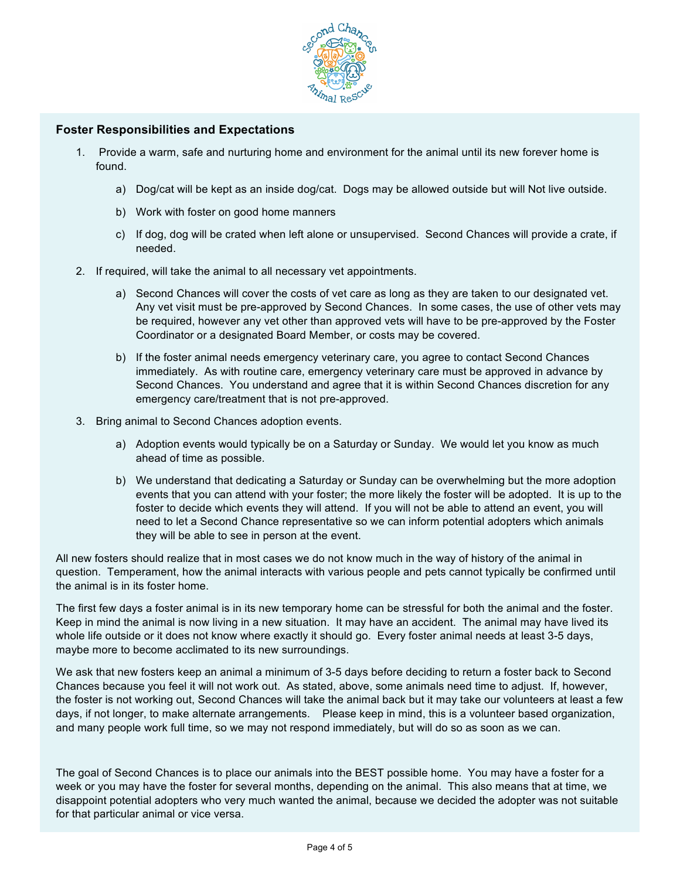

## **Foster Responsibilities and Expectations**

- 1. Provide a warm, safe and nurturing home and environment for the animal until its new forever home is found.
	- a) Dog/cat will be kept as an inside dog/cat. Dogs may be allowed outside but will Not live outside.
	- b) Work with foster on good home manners
	- c) If dog, dog will be crated when left alone or unsupervised. Second Chances will provide a crate, if needed.
- 2. If required, will take the animal to all necessary vet appointments.
	- a) Second Chances will cover the costs of vet care as long as they are taken to our designated vet. Any vet visit must be pre-approved by Second Chances. In some cases, the use of other vets may be required, however any vet other than approved vets will have to be pre-approved by the Foster Coordinator or a designated Board Member, or costs may be covered.
	- b) If the foster animal needs emergency veterinary care, you agree to contact Second Chances immediately. As with routine care, emergency veterinary care must be approved in advance by Second Chances. You understand and agree that it is within Second Chances discretion for any emergency care/treatment that is not pre-approved.
- 3. Bring animal to Second Chances adoption events.
	- a) Adoption events would typically be on a Saturday or Sunday. We would let you know as much ahead of time as possible.
	- b) We understand that dedicating a Saturday or Sunday can be overwhelming but the more adoption events that you can attend with your foster; the more likely the foster will be adopted. It is up to the foster to decide which events they will attend. If you will not be able to attend an event, you will need to let a Second Chance representative so we can inform potential adopters which animals they will be able to see in person at the event.

All new fosters should realize that in most cases we do not know much in the way of history of the animal in question. Temperament, how the animal interacts with various people and pets cannot typically be confirmed until the animal is in its foster home.

The first few days a foster animal is in its new temporary home can be stressful for both the animal and the foster. Keep in mind the animal is now living in a new situation. It may have an accident. The animal may have lived its whole life outside or it does not know where exactly it should go. Every foster animal needs at least 3-5 days, maybe more to become acclimated to its new surroundings.

We ask that new fosters keep an animal a minimum of 3-5 days before deciding to return a foster back to Second Chances because you feel it will not work out. As stated, above, some animals need time to adjust. If, however, the foster is not working out, Second Chances will take the animal back but it may take our volunteers at least a few days, if not longer, to make alternate arrangements. Please keep in mind, this is a volunteer based organization, and many people work full time, so we may not respond immediately, but will do so as soon as we can.

The goal of Second Chances is to place our animals into the BEST possible home. You may have a foster for a week or you may have the foster for several months, depending on the animal. This also means that at time, we disappoint potential adopters who very much wanted the animal, because we decided the adopter was not suitable for that particular animal or vice versa.